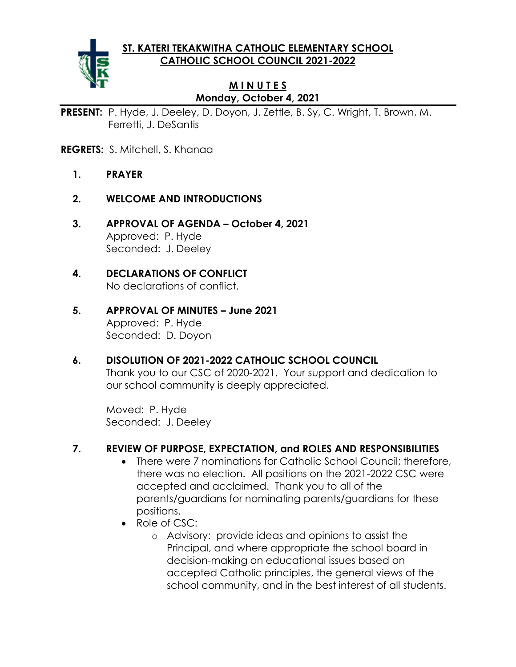**ST. KATERI TEKAKWITHA CATHOLIC ELEMENTARY SCHOOL CATHOLIC SCHOOL COUNCIL 2021-2022**



#### **M I N U T E S Monday, October 4, 2021**

**PRESENT:** P. Hyde, J. Deeley, D. Doyon, J. Zettle, B. Sy, C. Wright, T. Brown, M. Ferretti, J. DeSantis

- **REGRETS:** S. Mitchell, S. Khanaa
	- **1. PRAYER**
	- **2. WELCOME AND INTRODUCTIONS**
	- **3. APPROVAL OF AGENDA – October 4, 2021** Approved: P. Hyde Seconded: J. Deeley

#### **4. DECLARATIONS OF CONFLICT** No declarations of conflict.

- **5. APPROVAL OF MINUTES – June 2021** Approved: P. Hyde Seconded: D. Doyon
- **6. DISOLUTION OF 2021-2022 CATHOLIC SCHOOL COUNCIL**

Thank you to our CSC of 2020-2021. Your support and dedication to our school community is deeply appreciated.

Moved: P. Hyde Seconded: J. Deeley

### **7. REVIEW OF PURPOSE, EXPECTATION, and ROLES AND RESPONSIBILITIES**

- There were 7 nominations for Catholic School Council: therefore, there was no election. All positions on the 2021-2022 CSC were accepted and acclaimed. Thank you to all of the parents/guardians for nominating parents/guardians for these positions.
- Role of CSC:
	- o Advisory: provide ideas and opinions to assist the Principal, and where appropriate the school board in decision-making on educational issues based on accepted Catholic principles, the general views of the school community, and in the best interest of all students.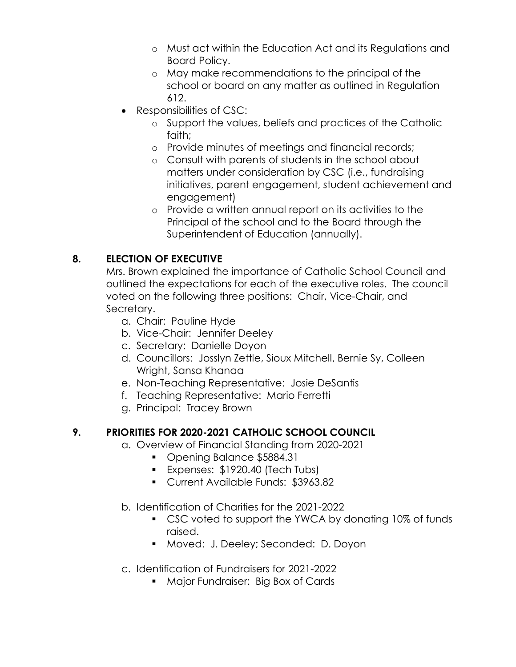- o Must act within the Education Act and its Regulations and Board Policy.
- o May make recommendations to the principal of the school or board on any matter as outlined in Regulation 612.
- Responsibilities of CSC:
	- o Support the values, beliefs and practices of the Catholic faith;
	- o Provide minutes of meetings and financial records;
	- o Consult with parents of students in the school about matters under consideration by CSC (i.e., fundraising initiatives, parent engagement, student achievement and engagement)
	- o Provide a written annual report on its activities to the Principal of the school and to the Board through the Superintendent of Education (annually).

# **8. ELECTION OF EXECUTIVE**

Mrs. Brown explained the importance of Catholic School Council and outlined the expectations for each of the executive roles. The council voted on the following three positions: Chair, Vice-Chair, and Secretary.

- a. Chair: Pauline Hyde
- b. Vice-Chair: Jennifer Deeley
- c. Secretary: Danielle Doyon
- d. Councillors: Josslyn Zettle, Sioux Mitchell, Bernie Sy, Colleen Wright, Sansa Khanaa
- e. Non-Teaching Representative: Josie DeSantis
- f. Teaching Representative: Mario Ferretti
- g. Principal: Tracey Brown

# **9. PRIORITIES FOR 2020-2021 CATHOLIC SCHOOL COUNCIL**

- a. Overview of Financial Standing from 2020-2021
	- Opening Balance \$5884.31
	- **Expenses: \$1920.40 (Tech Tubs)**
	- Current Available Funds: \$3963.82
- b. Identification of Charities for the 2021-2022
	- CSC voted to support the YWCA by donating 10% of funds raised.
	- Moved: J. Deeley; Seconded: D. Doyon
- c. Identification of Fundraisers for 2021-2022
	- Major Fundraiser: Big Box of Cards